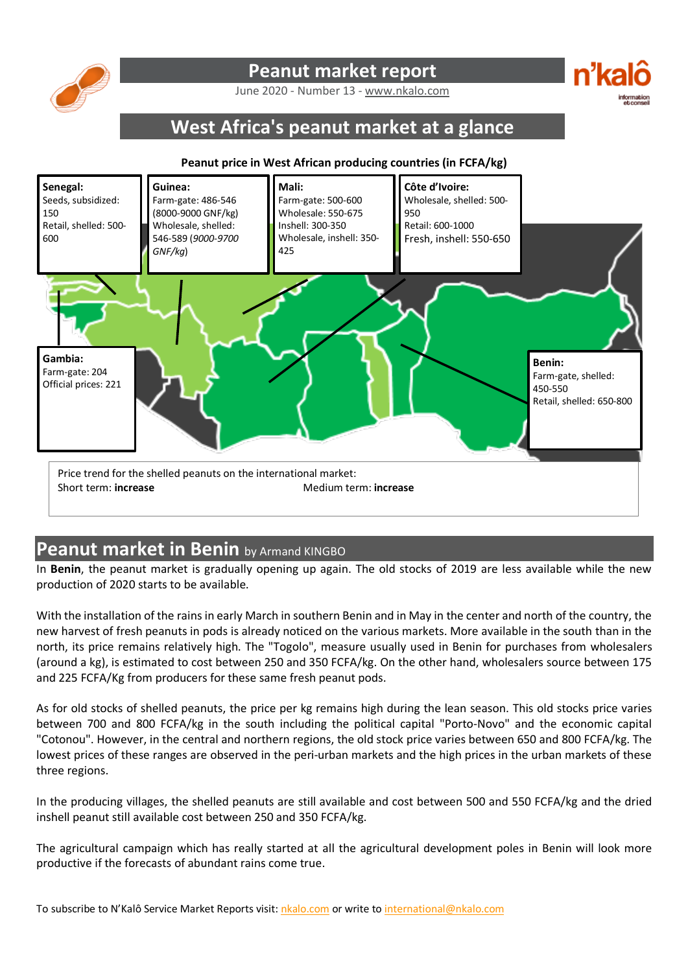

## **Peanut market report**

June 2020 - Number 13 - www.nkalo.com

# **West Africa's peanut market at a glance**

#### **Peanut price in West African producing countries (in FCFA/kg)**



### **Peanut market in Benin** by Armand KINGBO

In **Benin**, the peanut market is gradually opening up again. The old stocks of 2019 are less available while the new production of 2020 starts to be available.

With the installation of the rains in early March in southern Benin and in May in the center and north of the country, the new harvest of fresh peanuts in pods is already noticed on the various markets. More available in the south than in the north, its price remains relatively high. The "Togolo", measure usually used in Benin for purchases from wholesalers (around a kg), is estimated to cost between 250 and 350 FCFA/kg. On the other hand, wholesalers source between 175 and 225 FCFA/Kg from producers for these same fresh peanut pods.

As for old stocks of shelled peanuts, the price per kg remains high during the lean season. This old stocks price varies between 700 and 800 FCFA/kg in the south including the political capital "Porto-Novo" and the economic capital "Cotonou". However, in the central and northern regions, the old stock price varies between 650 and 800 FCFA/kg. The lowest prices of these ranges are observed in the peri-urban markets and the high prices in the urban markets of these three regions.

In the producing villages, the shelled peanuts are still available and cost between 500 and 550 FCFA/kg and the dried inshell peanut still available cost between 250 and 350 FCFA/kg.

The agricultural campaign which has really started at all the agricultural development poles in Benin will look more productive if the forecasts of abundant rains come true.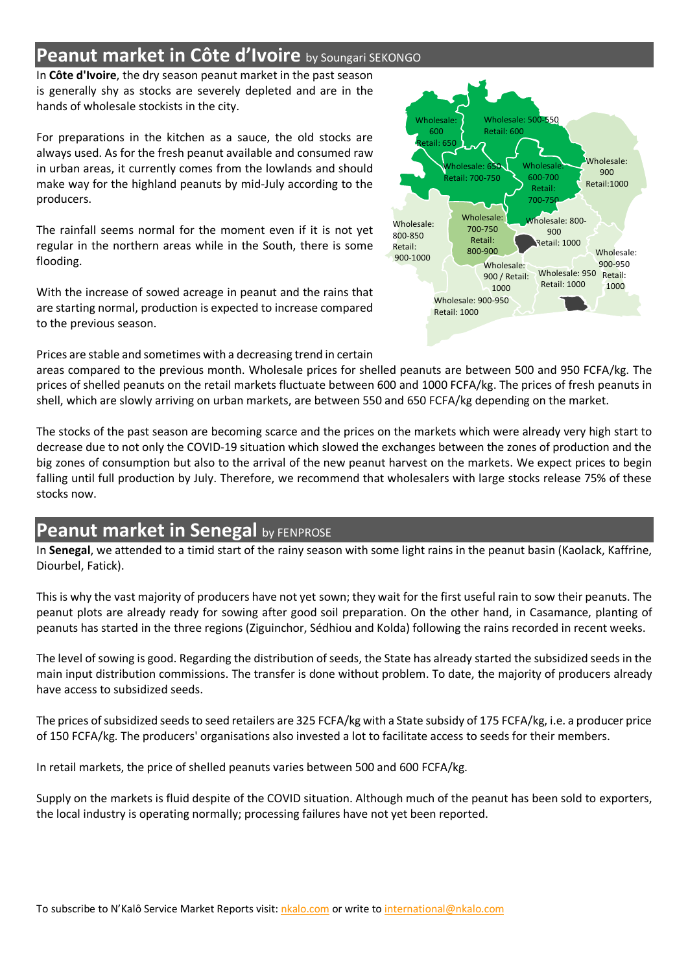## **Peanut market in Côte d'Ivoire** by Soungari SEKONGO

In **Côte d'Ivoire**, the dry season peanut market in the past season is generally shy as stocks are severely depleted and are in the hands of wholesale stockists in the city.

For preparations in the kitchen as a sauce, the old stocks are always used. As for the fresh peanut available and consumed raw in urban areas, it currently comes from the lowlands and should make way for the highland peanuts by mid-July according to the producers.

The rainfall seems normal for the moment even if it is not yet regular in the northern areas while in the South, there is some flooding.

With the increase of sowed acreage in peanut and the rains that are starting normal, production is expected to increase compared to the previous season.

Prices are stable and sometimes with a decreasing trend in certain



areas compared to the previous month. Wholesale prices for shelled peanuts are between 500 and 950 FCFA/kg. The prices of shelled peanuts on the retail markets fluctuate between 600 and 1000 FCFA/kg. The prices of fresh peanuts in shell, which are slowly arriving on urban markets, are between 550 and 650 FCFA/kg depending on the market.

The stocks of the past season are becoming scarce and the prices on the markets which were already very high start to decrease due to not only the COVID-19 situation which slowed the exchanges between the zones of production and the big zones of consumption but also to the arrival of the new peanut harvest on the markets. We expect prices to begin falling until full production by July. Therefore, we recommend that wholesalers with large stocks release 75% of these stocks now.

# **Peanut market in Senegal by FENPROSE**

In **Senegal**, we attended to a timid start of the rainy season with some light rains in the peanut basin (Kaolack, Kaffrine, Diourbel, Fatick).

This is why the vast majority of producers have not yet sown; they wait for the first useful rain to sow their peanuts. The peanut plots are already ready for sowing after good soil preparation. On the other hand, in Casamance, planting of peanuts has started in the three regions (Ziguinchor, Sédhiou and Kolda) following the rains recorded in recent weeks.

The level of sowing is good. Regarding the distribution of seeds, the State has already started the subsidized seeds in the main input distribution commissions. The transfer is done without problem. To date, the majority of producers already have access to subsidized seeds.

The prices of subsidized seeds to seed retailers are 325 FCFA/kg with a State subsidy of 175 FCFA/kg, i.e. a producer price of 150 FCFA/kg. The producers' organisations also invested a lot to facilitate access to seeds for their members.

In retail markets, the price of shelled peanuts varies between 500 and 600 FCFA/kg.

Supply on the markets is fluid despite of the COVID situation. Although much of the peanut has been sold to exporters, the local industry is operating normally; processing failures have not yet been reported.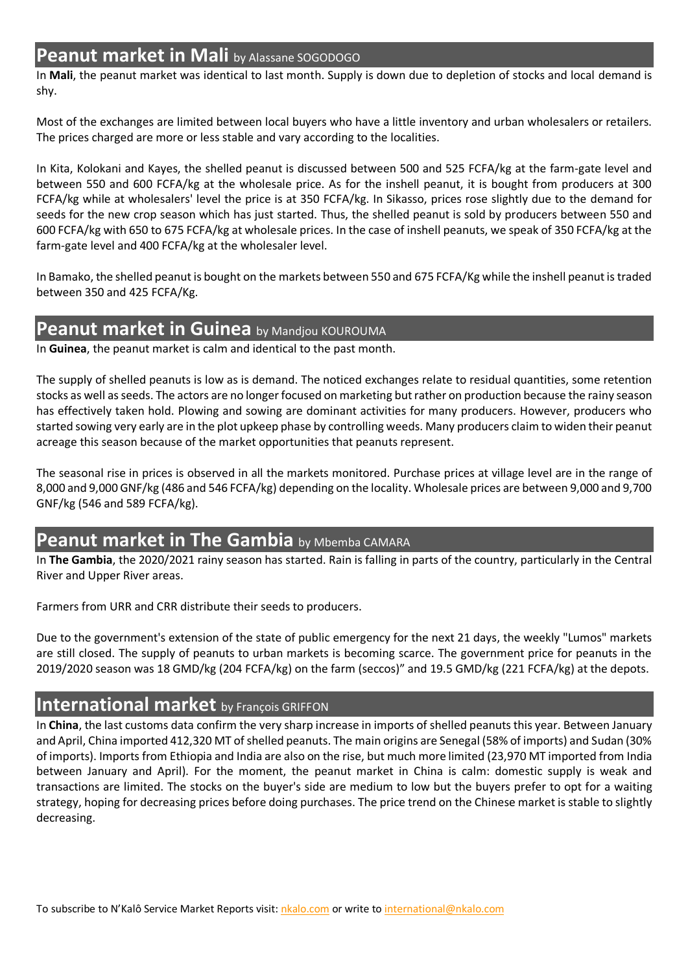### **Peanut market in Mali** by Alassane SOGODOGO

In **Mali**, the peanut market was identical to last month. Supply is down due to depletion of stocks and local demand is shy.

Most of the exchanges are limited between local buyers who have a little inventory and urban wholesalers or retailers. The prices charged are more or less stable and vary according to the localities.

In Kita, Kolokani and Kayes, the shelled peanut is discussed between 500 and 525 FCFA/kg at the farm-gate level and between 550 and 600 FCFA/kg at the wholesale price. As for the inshell peanut, it is bought from producers at 300 FCFA/kg while at wholesalers' level the price is at 350 FCFA/kg. In Sikasso, prices rose slightly due to the demand for seeds for the new crop season which has just started. Thus, the shelled peanut is sold by producers between 550 and 600 FCFA/kg with 650 to 675 FCFA/kg at wholesale prices. In the case of inshell peanuts, we speak of 350 FCFA/kg at the farm-gate level and 400 FCFA/kg at the wholesaler level.

In Bamako, the shelled peanut is bought on the markets between 550 and 675 FCFA/Kg while the inshell peanut is traded between 350 and 425 FCFA/Kg.

# **Peanut market in Guinea** by Mandjou KOUROUMA

In **Guinea**, the peanut market is calm and identical to the past month.

The supply of shelled peanuts is low as is demand. The noticed exchanges relate to residual quantities, some retention stocks as well as seeds. The actors are no longer focused on marketing but rather on production because the rainy season has effectively taken hold. Plowing and sowing are dominant activities for many producers. However, producers who started sowing very early are in the plot upkeep phase by controlling weeds. Many producers claim to widen their peanut acreage this season because of the market opportunities that peanuts represent.

The seasonal rise in prices is observed in all the markets monitored. Purchase prices at village level are in the range of 8,000 and 9,000 GNF/kg (486 and 546 FCFA/kg) depending on the locality. Wholesale prices are between 9,000 and 9,700 GNF/kg (546 and 589 FCFA/kg).

### **Peanut market in The Gambia** by Mbemba CAMARA

In **The Gambia**, the 2020/2021 rainy season has started. Rain is falling in parts of the country, particularly in the Central River and Upper River areas.

Farmers from URR and CRR distribute their seeds to producers.

Due to the government's extension of the state of public emergency for the next 21 days, the weekly "Lumos" markets are still closed. The supply of peanuts to urban markets is becoming scarce. The government price for peanuts in the 2019/2020 season was 18 GMD/kg (204 FCFA/kg) on the farm (seccos)" and 19.5 GMD/kg (221 FCFA/kg) at the depots.

#### **International market** by François GRIFFON

In **China**, the last customs data confirm the very sharp increase in imports of shelled peanuts this year. Between January and April, China imported 412,320 MT of shelled peanuts. The main origins are Senegal (58% of imports) and Sudan (30% of imports). Imports from Ethiopia and India are also on the rise, but much more limited (23,970 MT imported from India between January and April). For the moment, the peanut market in China is calm: domestic supply is weak and transactions are limited. The stocks on the buyer's side are medium to low but the buyers prefer to opt for a waiting strategy, hoping for decreasing prices before doing purchases. The price trend on the Chinese market is stable to slightly decreasing.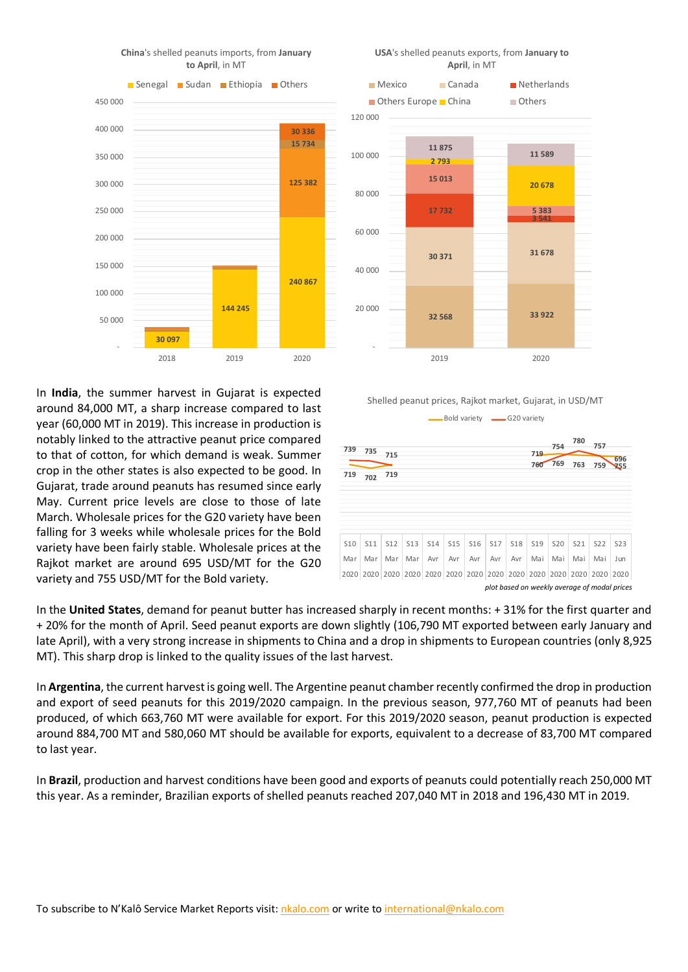

**China**'s shelled peanuts imports, from **January to April**, in MT

In **India**, the summer harvest in Gujarat is expected around 84,000 MT, a sharp increase compared to last year (60,000 MT in 2019). This increase in production is notably linked to the attractive peanut price compared to that of cotton, for which demand is weak. Summer crop in the other states is also expected to be good. In Gujarat, trade around peanuts has resumed since early May. Current price levels are close to those of late March. Wholesale prices for the G20 variety have been falling for 3 weeks while wholesale prices for the Bold variety have been fairly stable. Wholesale prices at the Rajkot market are around 695 USD/MT for the G20 variety and 755 USD/MT for the Bold variety.



Shelled peanut prices, Rajkot market, Gujarat, in USD/MT



In the **United States**, demand for peanut butter has increased sharply in recent months: + 31% for the first quarter and + 20% for the month of April. Seed peanut exports are down slightly (106,790 MT exported between early January and late April), with a very strong increase in shipments to China and a drop in shipments to European countries (only 8,925 MT). This sharp drop is linked to the quality issues of the last harvest.

In **Argentina**, the current harvest is going well. The Argentine peanut chamber recently confirmed the drop in production and export of seed peanuts for this 2019/2020 campaign. In the previous season, 977,760 MT of peanuts had been produced, of which 663,760 MT were available for export. For this 2019/2020 season, peanut production is expected around 884,700 MT and 580,060 MT should be available for exports, equivalent to a decrease of 83,700 MT compared to last year.

In **Brazil**, production and harvest conditions have been good and exports of peanuts could potentially reach 250,000 MT this year. As a reminder, Brazilian exports of shelled peanuts reached 207,040 MT in 2018 and 196,430 MT in 2019.